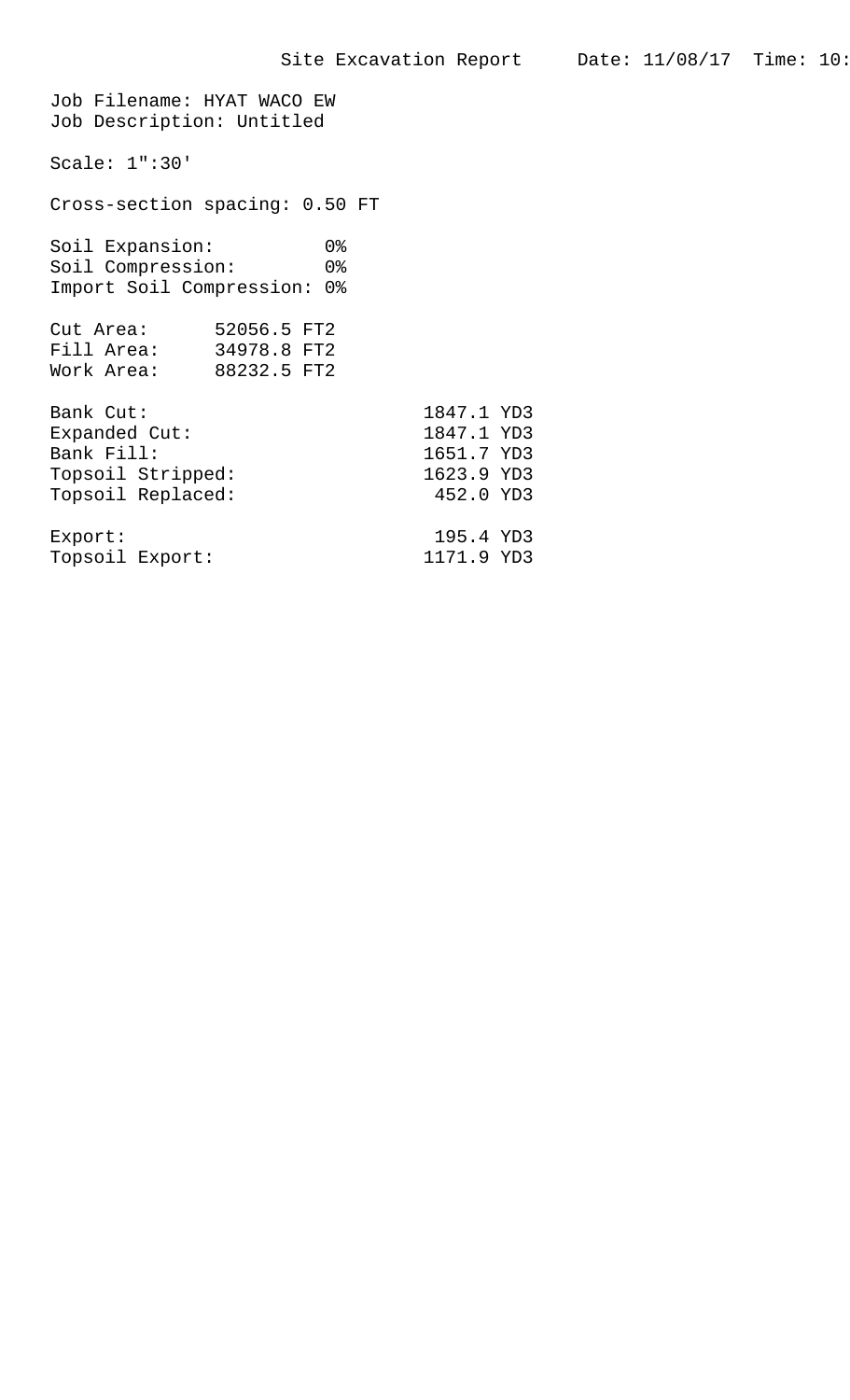Job Filename: HYAT WACO EW Job Description: Untitled Scale: 1":30' Cross-section spacing: 0.50 FT Soil Expansion: 0% Soil Compression: 0% Import Soil Compression: 0% Cut Area: 52056.5 FT2 Fill Area: 34978.8 FT2 Work Area: 88232.5 FT2 Bank Cut: 1847.1 YD3 Expanded Cut: 1847.1 YD3<br>Bank Fill: 1651.7 YD3 1651.7 YD3<br>1623.9 YD3 Topsoil Stripped: Topsoil Replaced: 452.0 YD3 Export: 195.4 YD3 Topsoil Export: 1171.9 YD3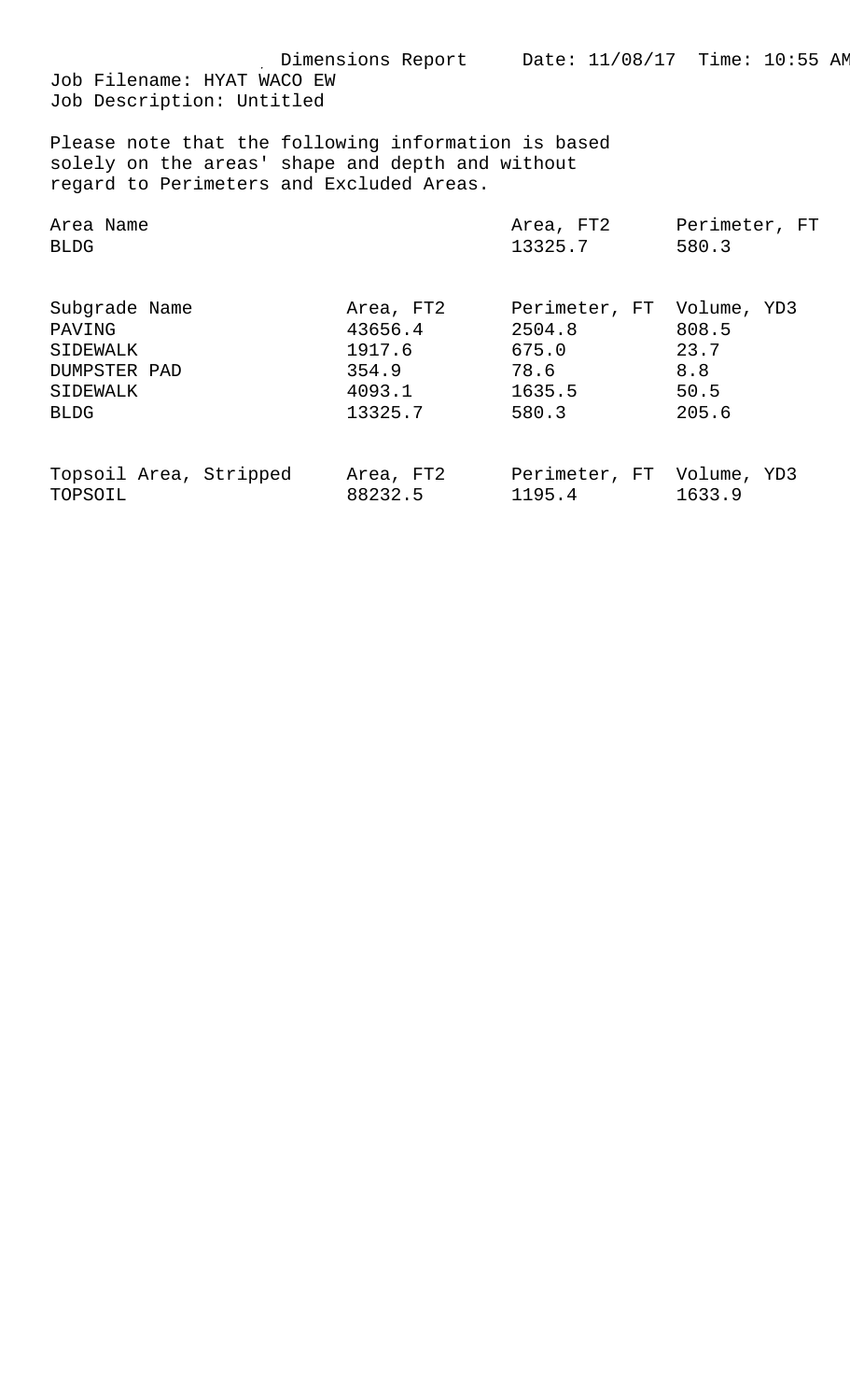Dimensions Report Date: 11/08/17 Time: 10:55 AM Job Filename: HYAT WACO EW

Job Description: Untitled

Please note that the following information is based solely on the areas' shape and depth and without regard to Perimeters and Excluded Areas.

| Area Name                                                                      |                                                              | Area, FT2                                                               | Perimeter, FT                         |
|--------------------------------------------------------------------------------|--------------------------------------------------------------|-------------------------------------------------------------------------|---------------------------------------|
| <b>BLDG</b>                                                                    |                                                              | 13325.7                                                                 | 580.3                                 |
| Subgrade Name<br>PAVING<br>SIDEWALK<br>DUMPSTER PAD<br>SIDEWALK<br><b>BLDG</b> | Area, FT2<br>43656.4<br>1917.6<br>354.9<br>4093.1<br>13325.7 | Perimeter, FT Volume, YD3<br>2504.8<br>675.0<br>78.6<br>1635.5<br>580.3 | 808.5<br>23.7<br>8.8<br>50.5<br>205.6 |
| Topsoil Area, Stripped                                                         | Area, FT2                                                    | Perimeter, FT Volume, YD3                                               | 1633.9                                |
| TOPSOIL                                                                        | 88232.5                                                      | 1195.4                                                                  |                                       |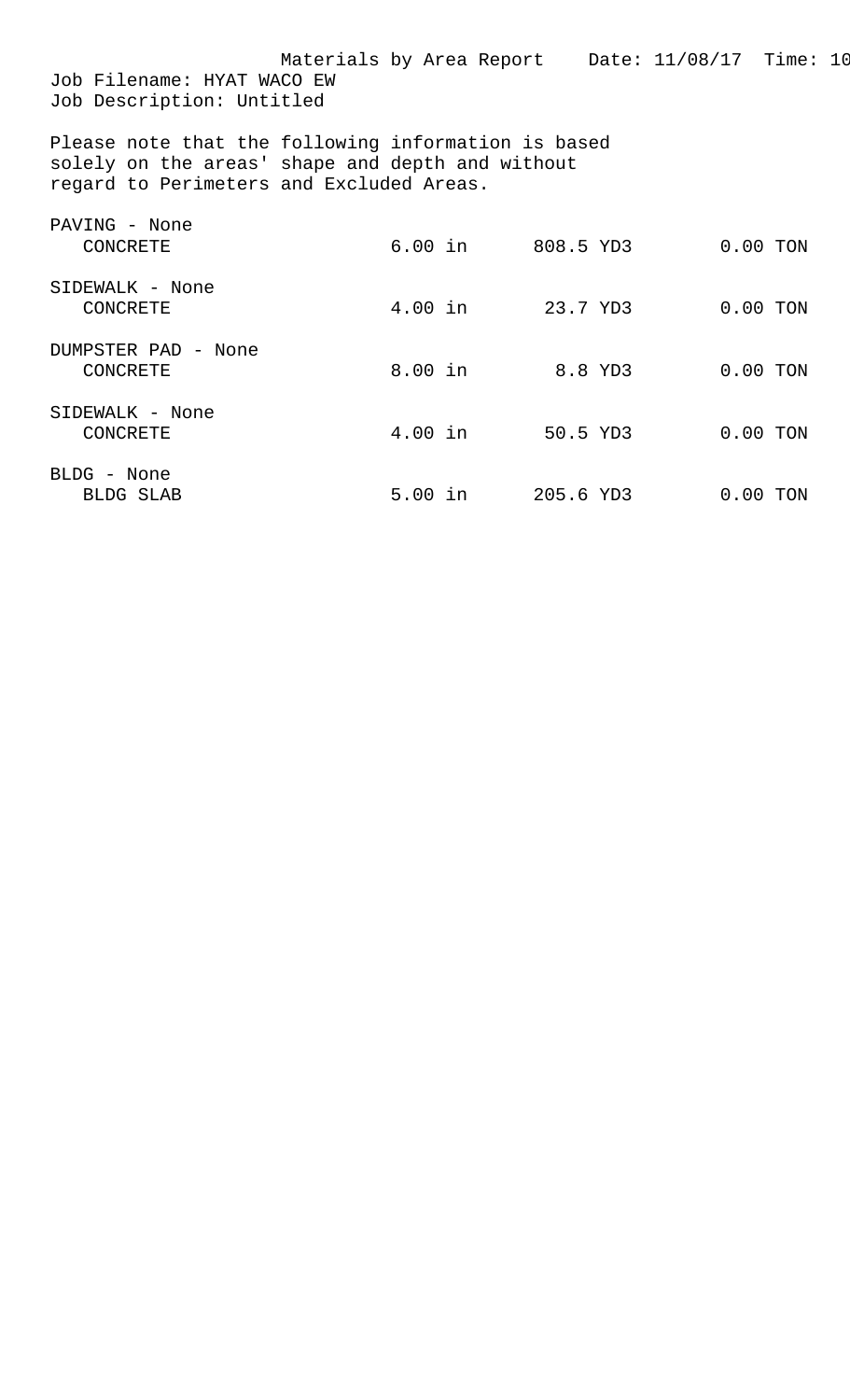| Job Filename: HYAT WACO EW<br>Job Description: Untitled                                                                                             | Materials by Area Report Date: 11/08/17 Time: 10 |                   |            |  |
|-----------------------------------------------------------------------------------------------------------------------------------------------------|--------------------------------------------------|-------------------|------------|--|
| Please note that the following information is based<br>solely on the areas' shape and depth and without<br>regard to Perimeters and Excluded Areas. |                                                  |                   |            |  |
| PAVING - None<br>CONCRETE                                                                                                                           |                                                  | 6.00 in 808.5 YD3 | $0.00$ TON |  |
| SIDEWALK - None<br>CONCRETE                                                                                                                         | $4.00$ in                                        | 23.7 YD3          | $0.00$ TON |  |
| DUMPSTER PAD - None<br>CONCRETE                                                                                                                     | $8.00$ in                                        | 8.8 YD3           | $0.00$ TON |  |
| SIDEWALK - None<br><b>CONCRETE</b>                                                                                                                  | $4.00$ in                                        | 50.5 YD3          | $0.00$ TON |  |
| BLDG - None<br>BLDG SLAB                                                                                                                            |                                                  | 5.00 in 205.6 YD3 | $0.00$ TON |  |